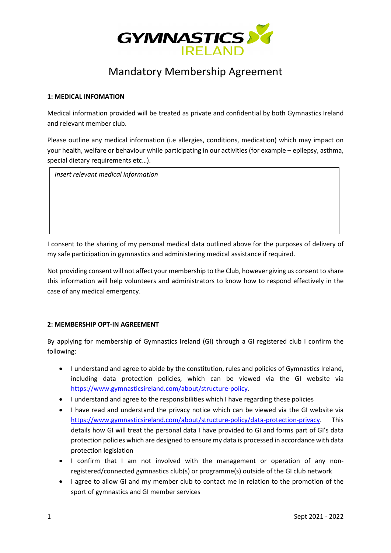

# Mandatory Membership Agreement

#### **1: MEDICAL INFOMATION**

Medical information provided will be treated as private and confidential by both Gymnastics Ireland and relevant member club.

Please outline any medical information (i.e allergies, conditions, medication) which may impact on your health, welfare or behaviour while participating in our activities (for example – epilepsy, asthma, special dietary requirements etc…).

*Insert relevant medical information*

I consent to the sharing of my personal medical data outlined above for the purposes of delivery of my safe participation in gymnastics and administering medical assistance if required.

Not providing consent will not affect your membership to the Club, however giving us consent to share this information will help volunteers and administrators to know how to respond effectively in the case of any medical emergency.

### **2: MEMBERSHIP OPT-IN AGREEMENT**

By applying for membership of Gymnastics Ireland (GI) through a GI registered club I confirm the following:

- I understand and agree to abide by the constitution, rules and policies of Gymnastics Ireland, including data protection policies, which can be viewed via the GI website via [https://www.gymnasticsireland.com/about/structure-policy.](https://www.gymnasticsireland.com/about/structure-policy)
- I understand and agree to the responsibilities which I have regarding these policies
- I have read and understand the privacy notice which can be viewed via the GI website via [https://www.gymnasticsireland.com/about/structure-policy/data-protection-privacy.](https://www.gymnasticsireland.com/about/structure-policy/data-protection-privacy) This details how GI will treat the personal data I have provided to GI and forms part of GI's data protection policies which are designed to ensure my data is processed in accordance with data protection legislation
- I confirm that I am not involved with the management or operation of any nonregistered/connected gymnastics club(s) or programme(s) outside of the GI club network
- I agree to allow GI and my member club to contact me in relation to the promotion of the sport of gymnastics and GI member services